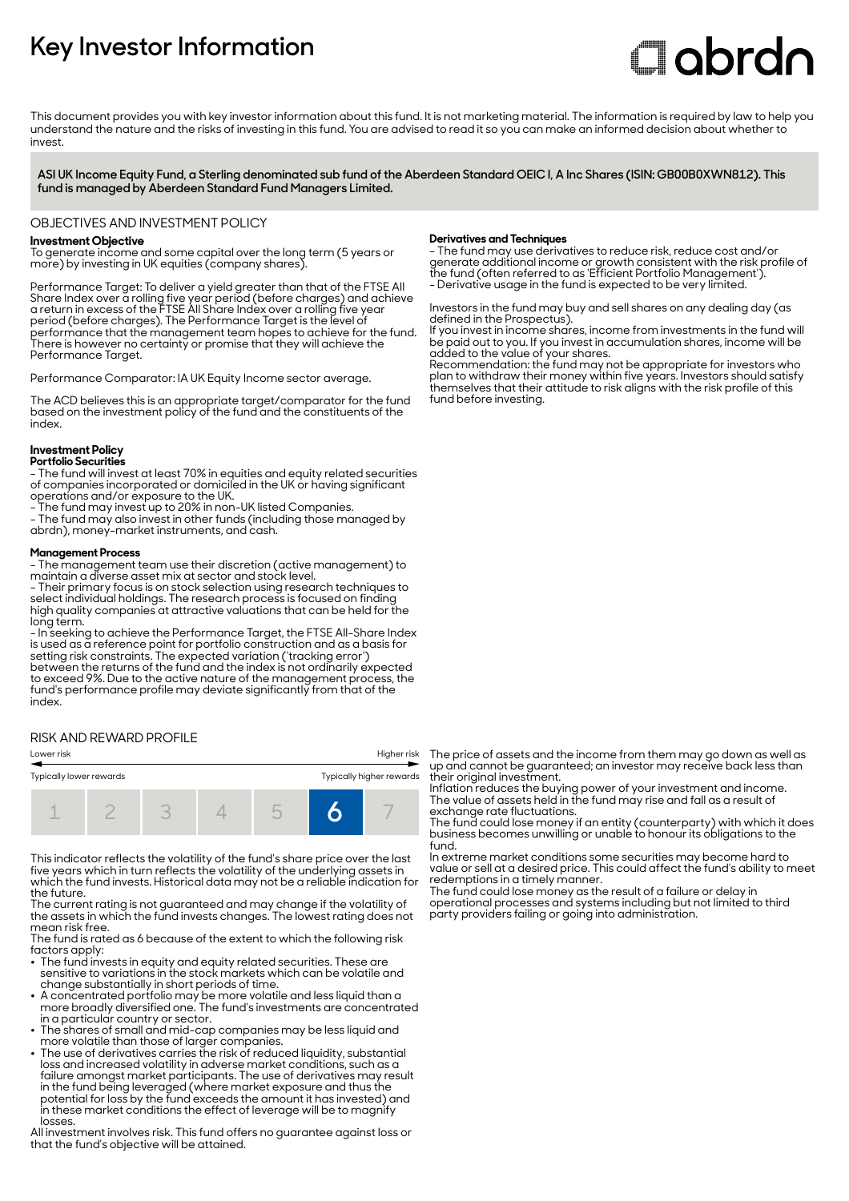## **Key Investor Information**

# **Clobrdo**

This document provides you with key investor information about this fund. It is not marketing material. The information is required by law to help you understand the nature and the risks of investing in this fund. You are advised to read it so you can make an informed decision about whether to invest

**ASI UK Income Equity Fund, a Sterling denominated sub fund of the Aberdeen Standard OEIC I, A Inc Shares (ISIN: GB00B0XWN812). This fund is managed by Aberdeen Standard Fund Managers Limited.**

#### OBJECTIVES AND INVESTMENT POLICY

#### **Investment Objective**

To generate income and some capital over the long term (5 years or more) by investing in UK equities (company shares).

Performance Target: To deliver a yield greater than that of the FTSE All Share Index over a rolling five year period (before charges) and achieve a return in excess of the FTSE All Share Index over a rolling five year period (before charges). The Performance Target is the level of performance that the management team hopes to achieve for the fund. There is however no certainty or promise that they will achieve the Performance Target.

Performance Comparator: IA UK Equity Income sector average.

The ACD believes this is an appropriate target/comparator for the fund based on the investment policy of the fund and the constituents of the index.

#### **Investment Policy**

**Portfolio Securities** - The fund will invest at least 70% in equities and equity related securities of companies incorporated or domiciled in the UK or having significant operations and/or exposure to the UK.

- The fund may invest up to 20% in non-UK listed Companies.

- The fund may also invest in other funds (including those managed by abrdn), money-market instruments, and cash.

#### **Management Process**

- The management team use their discretion (active management) to maintain a diverse asset mix at sector and stock level.

- Their primary focus is on stock selection using research techniques to select individual holdings. The research process is focused on finding high quality companies at attractive valuations that can be held for the long term.

- In seeking to achieve the Performance Target, the FTSE All-Share Index is used as a reference point for portfolio construction and as a basis for setting risk constraints. The expected variation ('tracking error') between the returns of the fund and the index is not ordinarily expected to exceed 9%. Due to the active nature of the management process, the fund's performance profile may deviate significantly from that of the index.

#### RISK AND REWARD PROFILE



This indicator reflects the volatility of the fund's share price over the last five years which in turn reflects the volatility of the underlying assets in which the fund invests. Historical data may not be a reliable indication for the future.

The current rating is not guaranteed and may change if the volatility of the assets in which the fund invests changes. The lowest rating does not mean risk free.

The fund is rated as 6 because of the extent to which the following risk factors apply: 2 The fund invests in equity and equity related securities. These are

- sensitive to variations in the stock markets which can be volatile and change substantially in short periods of time.
- A concentrated portfolio may be more volatile and less liquid than a more broadly diversified one. The fund's investments are concentrated
- in a particular country or sector. 2 The shares of small and mid-cap companies may be less liquid and
- more volatile than those of larger companies. 2 The use of derivatives carries the risk of reduced liquidity, substantial loss and increased volatility in adverse market conditions, such as a failure amongst market participants. The use of derivatives may result in the fund being leveraged (where market exposure and thus the potential for loss by the fund exceeds the amount it has invested) and in these market conditions the effect of leverage will be to magnify losses.

All investment involves risk. This fund offers no guarantee against loss or that the fund's objective will be attained.

#### **Derivatives and Techniques**

- The fund may use derivatives to reduce risk, reduce cost and/or generate additional income or growth consistent with the risk profile of the fund (often referred to as 'Efficient Portfolio Management'). - Derivative usage in the fund is expected to be very limited.

Investors in the fund may buy and sell shares on any dealing day (as defined in the Prospectus).

If you invest in income shares, income from investments in the fund will be paid out to you. If you invest in accumulation shares, income will be added to the value of your shares.

Recommendation: the fund may not be appropriate for investors who plan to withdraw their money within five years. Investors should satisfy themselves that their attitude to risk aligns with the risk profile of this fund before investing.

The price of assets and the income from them may go down as well as up and cannot be guaranteed; an investor may receive back less than their original investment.

Inflation reduces the buying power of your investment and income. The value of assets held in the fund may rise and fall as a result of exchange rate fluctuations.

The fund could lose money if an entity (counterparty) with which it does business becomes unwilling or unable to honour its obligations to the fund.

In extreme market conditions some securities may become hard to value or sell at a desired price. This could affect the fund's ability to meet redemptions in a timely manner.

The fund could lose money as the result of a failure or delay in operational processes and systems including but not limited to third party providers failing or going into administration.